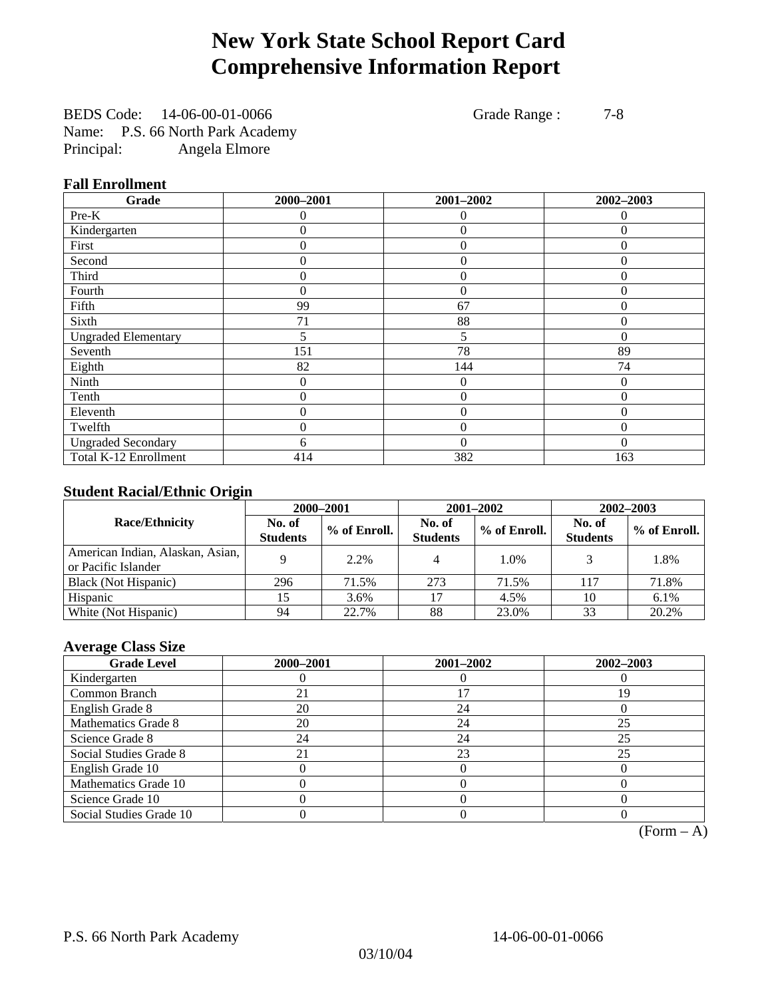# **New York State School Report Card Comprehensive Information Report**

BEDS Code: 14-06-00-01-0066 Grade Range : 7-8 Name: P.S. 66 North Park Academy Principal: Angela Elmore

#### **Fall Enrollment**

| Grade                      | 2000-2001 | 2001-2002      | 2002-2003    |
|----------------------------|-----------|----------------|--------------|
| Pre-K                      | $\Omega$  | $\Omega$       | $\Omega$     |
| Kindergarten               | 0         | $\theta$       | $\Omega$     |
| First                      | 0         | $\theta$       | 0            |
| Second                     | 0         | $\theta$       | $\Omega$     |
| Third                      | 0         | $\overline{0}$ | $\theta$     |
| Fourth                     | 0         | $\theta$       | $\Omega$     |
| Fifth                      | 99        | 67             | $\theta$     |
| Sixth                      | 71        | 88             | $\Omega$     |
| <b>Ungraded Elementary</b> | 5         | 5              | $\Omega$     |
| Seventh                    | 151       | 78             | 89           |
| Eighth                     | 82        | 144            | 74           |
| Ninth                      | 0         | $\theta$       | $\Omega$     |
| Tenth                      | 0         | $\overline{0}$ | $\theta$     |
| Eleventh                   | 0         | $\overline{0}$ | 0            |
| Twelfth                    | 0         | $\overline{0}$ | $\mathbf{0}$ |
| <b>Ungraded Secondary</b>  | 6         | $\theta$       | $\Omega$     |
| Total K-12 Enrollment      | 414       | 382            | 163          |

#### **Student Racial/Ethnic Origin**

|                                                         | 2000-2001                 |              |                           | 2001-2002    | $2002 - 2003$             |                |
|---------------------------------------------------------|---------------------------|--------------|---------------------------|--------------|---------------------------|----------------|
| <b>Race/Ethnicity</b>                                   | No. of<br><b>Students</b> | % of Enroll. | No. of<br><b>Students</b> | % of Enroll. | No. of<br><b>Students</b> | $%$ of Enroll. |
| American Indian, Alaskan, Asian,<br>or Pacific Islander |                           | 2.2%         | 4                         | 1.0%         |                           | 1.8%           |
| Black (Not Hispanic)                                    | 296                       | 71.5%        | 273                       | 71.5%        | 117                       | 71.8%          |
| Hispanic                                                |                           | 3.6%         | 17                        | 4.5%         | 10                        | $6.1\%$        |
| White (Not Hispanic)                                    | 94                        | 22.7%        | 88                        | 23.0%        | 33                        | 20.2%          |

#### **Average Class Size**

| <b>Grade Level</b>      | 2000-2001 | 2001-2002 | 2002-2003 |
|-------------------------|-----------|-----------|-----------|
| Kindergarten            |           |           |           |
| Common Branch           | 21        |           | 19        |
| English Grade 8         | 20        | 24        |           |
| Mathematics Grade 8     | 20        | 24        | 25        |
| Science Grade 8         | 24        | 24        | 25        |
| Social Studies Grade 8  | 21        | 23        | 25        |
| English Grade 10        |           |           |           |
| Mathematics Grade 10    |           |           |           |
| Science Grade 10        |           |           |           |
| Social Studies Grade 10 |           |           |           |

 $(Form - A)$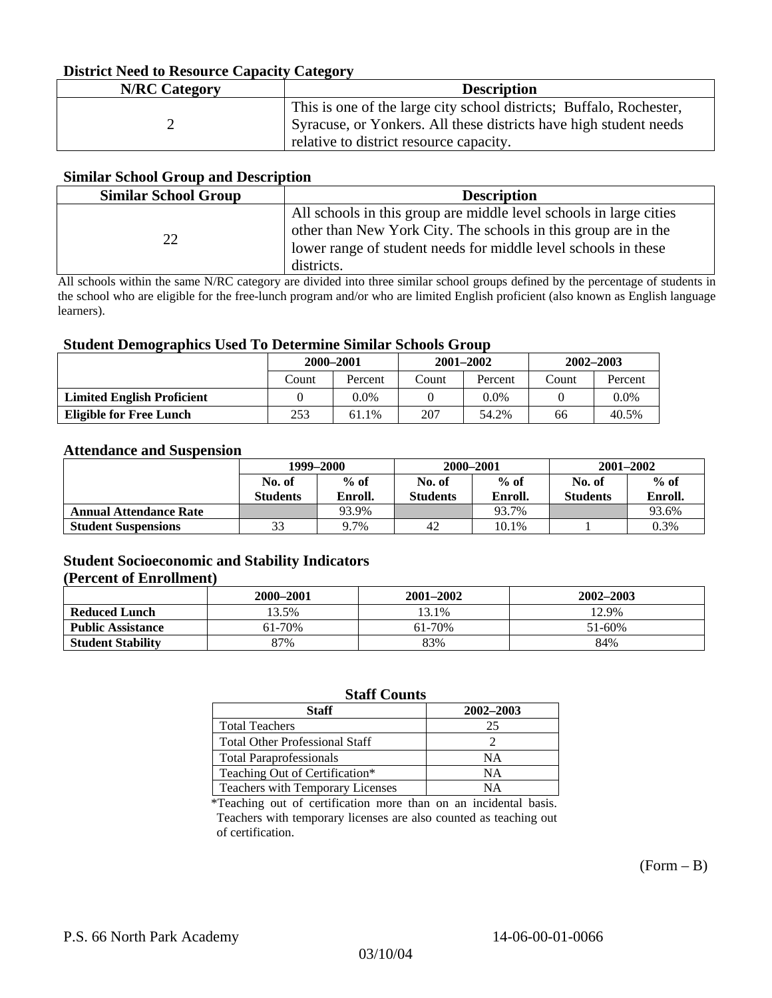#### **District Need to Resource Capacity Category**

| <b>N/RC</b> Category | <b>Description</b>                                                                                                                                                                  |
|----------------------|-------------------------------------------------------------------------------------------------------------------------------------------------------------------------------------|
|                      | This is one of the large city school districts; Buffalo, Rochester,<br>Syracuse, or Yonkers. All these districts have high student needs<br>relative to district resource capacity. |

#### **Similar School Group and Description**

| <b>Similar School Group</b> | <b>Description</b>                                                                                                                                                                                                   |
|-----------------------------|----------------------------------------------------------------------------------------------------------------------------------------------------------------------------------------------------------------------|
| $\mathcal{D}$               | All schools in this group are middle level schools in large cities<br>other than New York City. The schools in this group are in the<br>lower range of student needs for middle level schools in these<br>districts. |

All schools within the same N/RC category are divided into three similar school groups defined by the percentage of students in the school who are eligible for the free-lunch program and/or who are limited English proficient (also known as English language learners).

#### **Student Demographics Used To Determine Similar Schools Group**

| 0                                 | 2000–2001 |         | $2001 - 2002$ |         | 2002-2003 |         |
|-----------------------------------|-----------|---------|---------------|---------|-----------|---------|
|                                   | Count     | Percent | Count         | Percent | Count     | Percent |
| <b>Limited English Proficient</b> |           | 0.0%    |               | 0.0%    |           | $0.0\%$ |
| Eligible for Free Lunch           | 253       | 61.1%   | 207           | 54.2%   | 66        | 40.5%   |

#### **Attendance and Suspension**

|                               | 1999-2000                 |                   | 2000-2001                 |                   | $2001 - 2002$             |                   |
|-------------------------------|---------------------------|-------------------|---------------------------|-------------------|---------------------------|-------------------|
|                               | No. of<br><b>Students</b> | $%$ of<br>Enroll. | No. of<br><b>Students</b> | $%$ of<br>Enroll. | No. of<br><b>Students</b> | $%$ of<br>Enroll. |
| <b>Annual Attendance Rate</b> |                           | 93.9%             |                           | 93.7%             |                           | 93.6%             |
| <b>Student Suspensions</b>    | 33                        | 9.7%              | 42                        | 10.1%             |                           | 0.3%              |

### **Student Socioeconomic and Stability Indicators**

#### **(Percent of Enrollment)**

|                          | 2000–2001 | $2001 - 2002$ | 2002–2003 |
|--------------------------|-----------|---------------|-----------|
| <b>Reduced Lunch</b>     | 13.5%     | 13.1%         | 12.9%     |
| <b>Public Assistance</b> | 61-70%    | 61-70%        | 51-60%    |
| <b>Student Stability</b> | 87%       | 83%           | 84%       |

#### **Staff Counts**

| Staff                                 | 2002-2003 |
|---------------------------------------|-----------|
| <b>Total Teachers</b>                 | 25        |
| <b>Total Other Professional Staff</b> |           |
| <b>Total Paraprofessionals</b>        | NΑ        |
| Teaching Out of Certification*        | NΑ        |
| Teachers with Temporary Licenses      | NА        |

\*Teaching out of certification more than on an incidental basis. Teachers with temporary licenses are also counted as teaching out of certification.

 $(Form - B)$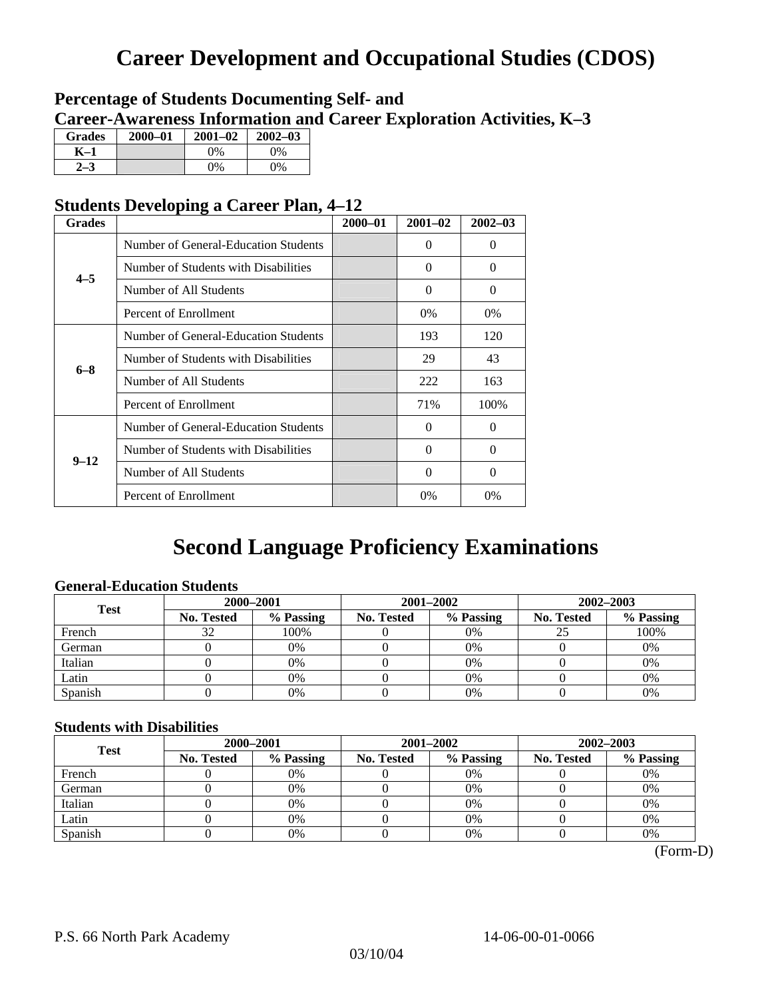# **Career Development and Occupational Studies (CDOS)**

### **Percentage of Students Documenting Self- and Career-Awareness Information and Career Exploration Activities, K–3**

| <b>Grades</b> | $2000 - 01$ | $2001 - 02$ | $2002 - 03$ |
|---------------|-------------|-------------|-------------|
| K-1           |             | $0\%$       | 0%          |
| $2 - 3$       |             | $0\%$       | $0\%$       |

### **Students Developing a Career Plan, 4–12**

| <b>Grades</b> |                                      | $2000 - 01$ | $2001 - 02$ | $2002 - 03$ |
|---------------|--------------------------------------|-------------|-------------|-------------|
|               | Number of General-Education Students |             | $\Omega$    | 0           |
| $4 - 5$       | Number of Students with Disabilities |             | $\Omega$    | 0           |
|               | Number of All Students               |             | $\Omega$    | 0           |
|               | Percent of Enrollment                |             | 0%          | 0%          |
|               | Number of General-Education Students |             | 193         | 120         |
| $6 - 8$       | Number of Students with Disabilities |             | 29          | 43          |
|               | Number of All Students               |             | 222         | 163         |
|               | Percent of Enrollment                |             | 71%         | 100%        |
|               | Number of General-Education Students |             | $\Omega$    | 0           |
| $9 - 12$      | Number of Students with Disabilities |             | $\Omega$    | 0           |
|               | Number of All Students               |             | $\Omega$    | $\Omega$    |
|               | Percent of Enrollment                |             | 0%          | $0\%$       |

## **Second Language Proficiency Examinations**

### **General-Education Students**

| <b>Test</b> | 2000-2001         |           |            | 2001-2002 | $2002 - 2003$ |           |
|-------------|-------------------|-----------|------------|-----------|---------------|-----------|
|             | <b>No. Tested</b> | % Passing | No. Tested | % Passing | No. Tested    | % Passing |
| French      | 32                | 100%      |            | 0%        |               | 100%      |
| German      |                   | 0%        |            | $0\%$     |               | 0%        |
| Italian     |                   | 0%        |            | 0%        |               | 0%        |
| Latin       |                   | 0%        |            | 0%        |               | 0%        |
| Spanish     |                   | $0\%$     |            | 0%        |               | 0%        |

#### **Students with Disabilities**

| <b>Test</b> | 2000-2001  |           |            | 2001-2002 | 2002-2003  |           |  |
|-------------|------------|-----------|------------|-----------|------------|-----------|--|
|             | No. Tested | % Passing | No. Tested | % Passing | No. Tested | % Passing |  |
| French      |            | 0%        |            | 0%        |            | 0%        |  |
| German      |            | 0%        |            | $0\%$     |            | 0%        |  |
| Italian     |            | 0%        |            | 0%        |            | 0%        |  |
| Latin       |            | 0%        |            | 0%        |            | 0%        |  |
| Spanish     |            | 0%        |            | 0%        |            | 0%        |  |

(Form-D)